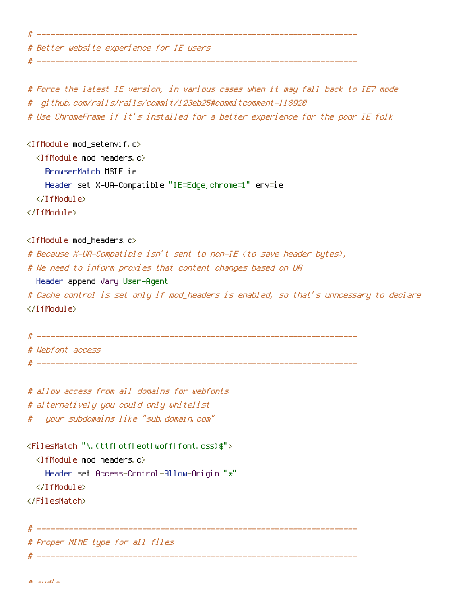# Better website experience for IE users

# Force the latest IE version, in various cases when it may fall back to IE7 mode # github.com/rails/rails/commit/123eb25#commitcomment-118920

# ----------------------------------------------------------------------

# ----------------------------------------------------------------------

# Use ChromeFrame if it's installed for <sup>a</sup> better experience for the poor IE folk

<IfModule mod\_setenvif.c> <IfModule mod\_headers.c> BrowserMatch MSIE ie Header set X-UA-Compatible "IE=Edge,chrome=1" env=ie </IfModule>

</IfModule>

<IfModule mod\_headers.c>

# Because X-UA-Compatible isn't sent to non-IE (to save header bytes),

# We need to inform proxies that content changes based on UA

Header append Vary User-Agent

# Cache control is set only if mod\_headers is enabled, so that's unncessary to declare </IfModule>

```
# ----------------------------------------------------------------------
# Webfont access
# ----------------------------------------------------------------------
```
# allow access from all domains for webfonts # alternatively you could only whitelist # your subdomains like "sub.domain.com"

```
<FilesMatch "\.(ttf|otf|eot|woff|font.css)$">
  <IfModule mod_headers.c>
    Header set Access-Control-Allow-Origin "*"
  </IfModule>
```
</FilesMatch>

# Proper MIME type for all files

# ----------------------------------------------------------------------

# ----------------------------------------------------------------------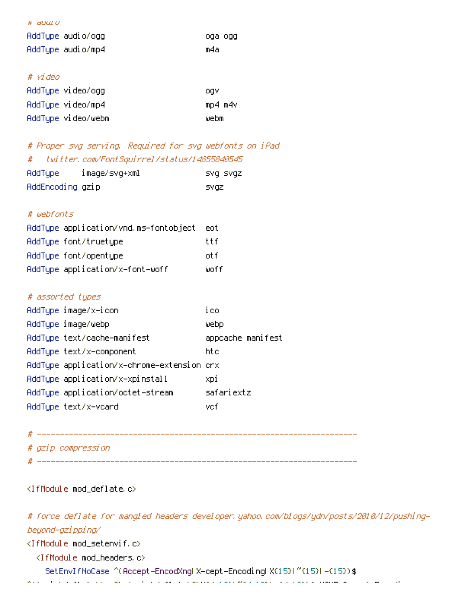| # auoi o          |         |
|-------------------|---------|
| AddTupe audio/ogg | oga ogg |
| AddTupe audio/mp4 | m4a     |

### # video

| AddType video/ogg  | ogv     |
|--------------------|---------|
| AddType video/mp4  | mp4 m4v |
| AddType video/webm | webm    |

# # Proper svg serving. Required for svg webfonts on iPad # twitter.com/FontSquirrel/status/14855840545

| AddType          | image/svg+xml | isvg svgz |
|------------------|---------------|-----------|
| AddEncoding gzip |               | svaz      |

## # webfonts

| AddType application/vnd.ms-fontobject | eot.  |
|---------------------------------------|-------|
| AddType font/truetype                 | ttf   |
| AddType font/opentype                 | nt fi |
| AddType application/x-font-woff       | woff  |

#### # assorted types

| AddType image/x-icon                       | ico               |
|--------------------------------------------|-------------------|
| AddType image/webp                         | webp.             |
| AddType text/cache-manifest                | appcache manifest |
| AddType text/x-component                   | htc.              |
| AddTupe application/x-chrome-extension crx |                   |
| AddType application/x-xpinstall            | xpi               |
| AddType application/octet-stream           | safariextz        |
| AddTupe text/x-vcard                       | vcf               |

#### # ----------------------------------------------------------------------

- # gzip compression
- # ----------------------------------------------------------------------

## <IfModule mod\_deflate.c>

# force deflate for mangled headers developer.yahoo.com/blogs/ydn/posts/2010/12/pushingbeyond-gzipping/

<IfModule mod\_setenvif.c>

<IfModule mod\_headers.c>

SetEnvIfNoCase ^(Accept-EncodXng|X-cept-Encoding|X{15}|~{15}|-{15})\$

 $\langle\sigma\rangle$  (gzip define  $\langle\sigma\rangle$  define the flates). The flatest encoding the flates is the flatest encoding that  $\sigma$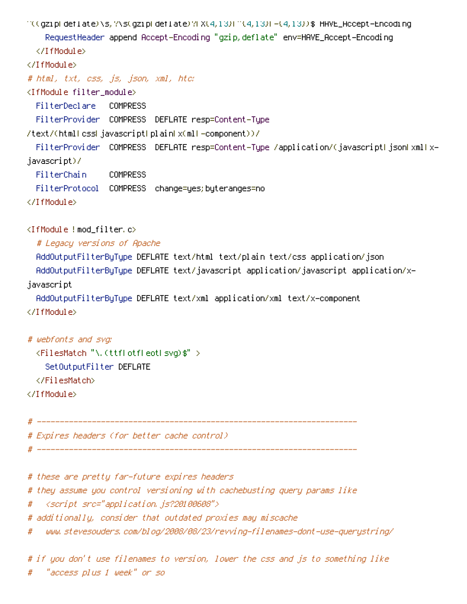^((gzip|deflate)\s,?\s(gzip|deflate)?|X{4,13}|~{4,13}|-{4,13})\$ HAVE\_Accept-Encoding RequestHeader append Accept-Encoding "gzip,deflate" env=HAVE\_Accept-Encoding </IfModule> </IfModule> # html, txt, css, js, json, xml, htc: <IfModule filter\_module> FilterDeclare COMPRESS FilterProvider COMPRESS DEFLATE resp=Content-Type /text/(html|css|javascript|plain|x(ml|-component))/ FilterProvider COMPRESS DEFLATE resp=Content-Type /application/(javascriptHjsonHxmlHxjavascript)/ FilterChain COMPRESS

FilterProtocol COMPRESS change=yes;byteranges=no

</IfModule>

<IfModule !mod\_filter.c>

# Legacy versions of Apache

AddOutputFilterByType DEFLATE text/html text/plain text/css application/json AddOutputFilterByType DEFLATE text/javascript application/javascript application/xjavascript

AddOutputFilterByType DEFLATE text/xml application/xml text/x-component </IfModule>

# webfonts and svg:

<FilesMatch "\.(ttf|otf|eot|svg)\$" >

SetOutputFilter DEFLATE

</FilesMatch>

</IfModule>

# ----------------------------------------------------------------------

# Expires headers (for better cache control)

# ----------------------------------------------------------------------

# these are pretty far-future expires headers

# they assume you control versioning with cachebusting query params like

# <script src="application.js?20100608">

# additionally, consider that outdated proxies may miscache

# www.stevesouders.com/blog/2008/08/23/revving-filenames-dont-use-querystring/

# if you don't use filenames to version, lower the css and js to something like # "access plus 1 week" or so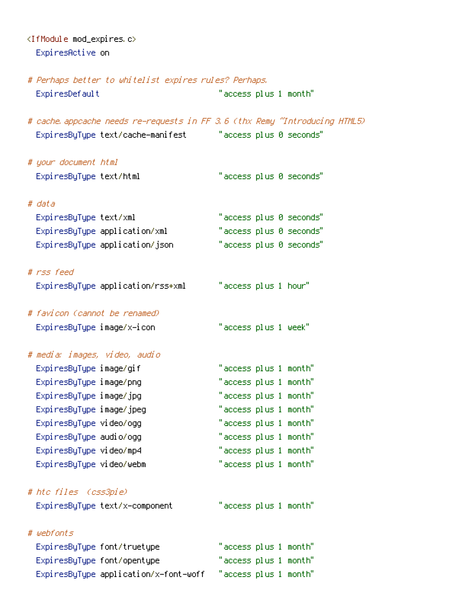<IfModule mod\_expires.c> ExpiresActive on

# Perhaps better to whitelist expires rules? Perhaps. ExpiresDefault "access plus 1 month" # cache.appcache needs re-requests in FF 3.6 (thx Remy ~Introducing HTML5) ExpiresByType text/cache-manifest "access plus 0 seconds" # your document html ExpiresByType text/html "access plus 0 seconds" # data ExpiresByType text/xml "access plus 0 seconds" ExpiresByType application/xml "access plus 0 seconds" ExpiresByType application/json "access plus 0 seconds" # rss feed ExpiresByType application/rss+xml "access plus 1 hour" # favicon (cannot be renamed) ExpiresByType image/x-icon "access plus 1 week" # media: images, video, audio ExpiresByType image/gif "access plus 1 month" ExpiresByType image/png "access plus 1 month" ExpiresByType image/jpg "access plus 1 month" ExpiresByType image/jpeg "access plus 1 month" ExpiresByType video/ogg "access plus 1 month" ExpiresByType audio/ogg "access plus 1 month" ExpiresByType video/mp4 "access plus 1 month" ExpiresByType video/webm "access plus 1 month" # htc files (css3pie) ExpiresByType text/x-component "access plus 1 month" # webfonts ExpiresByType font/truetype "access plus 1 month" ExpiresByType font/opentype "access plus 1 month" ExpiresByType application/x-font-woff "access plus 1 month"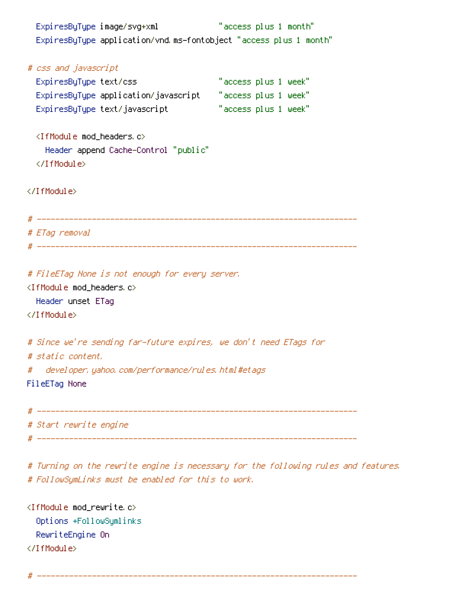ExpiresByType image/svg+xml "access plus 1 month" ExpiresByType application/vnd.ms-fontobject "access plus 1 month" # css and javascript ExpiresByType text/css "access plus 1 week" ExpiresByType application/javascript "access plus 1 week" ExpiresByType text/javascript "access plus 1 week" <IfModule mod\_headers.c> Header append Cache-Control "public" </IfModule> </IfModule> # ---------------------------------------------------------------------- # ETag removal # ---------------------------------------------------------------------- # FileETag None is not enough for every server. <IfModule mod\_headers.c> Header unset ETag </IfModule> # Since we're sending far-future expires, we don't need ETags for # static content. # developer.yahoo.com/performance/rules.html#etags FileETag None # ---------------------------------------------------------------------- # Start rewrite engine # ----------------------------------------------------------------------

# Turning on the rewrite engine is necessary for the following rules and features. # FollowSymLinks must be enabled for this to work.

<IfModule mod\_rewrite.c> Options +FollowSymlinks RewriteEngine On </IfModule>

# ----------------------------------------------------------------------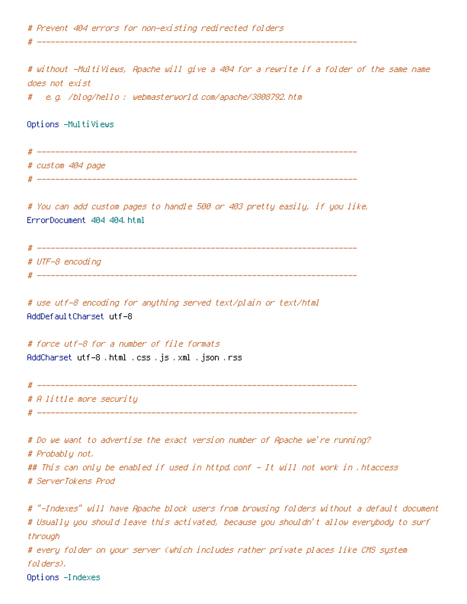# Prevent 404 errors for non-existing redirected folders

# without -MultiViews, Apache will give <sup>a</sup> 404 for <sup>a</sup> rewrite if <sup>a</sup> folder of the same name does not exist

# e.g. /blog/hello : webmasterworld.com/apache/3808792.htm

Options -MultiViews

# ---------------------------------------------------------------------- # custom 404 page # ----------------------------------------------------------------------

# ----------------------------------------------------------------------

# You can add custom pages to handle 500 or 403 pretty easily, if you like. ErrorDocument 404 404.html

| ₩ | ____             |
|---|------------------|
|   | # UTF-8 encoding |

# ----------------------------------------------------------------------

# use utf-8 encoding for anything served text/plain or text/html AddDefaultCharset utf-8

# force utf-8 for <sup>a</sup> number of file formats AddCharset utf-8 .html .css .js .xml .json .rss

# ----------------------------------------------------------------------

# A little more security

# ----------------------------------------------------------------------

# Do we want to advertise the exact version number of Apache we're running? # Probably not. ## This can only be enabled if used in httpd.conf - It will not work in .htaccess # ServerTokens Prod

# "-Indexes" will have Apache block users from browsing folders without <sup>a</sup> default document # Usually you should leave this activated, because you shouldn't allow everybody to surf through # every folder on your server (which includes rather private places like CMS system folders). Options -Indexes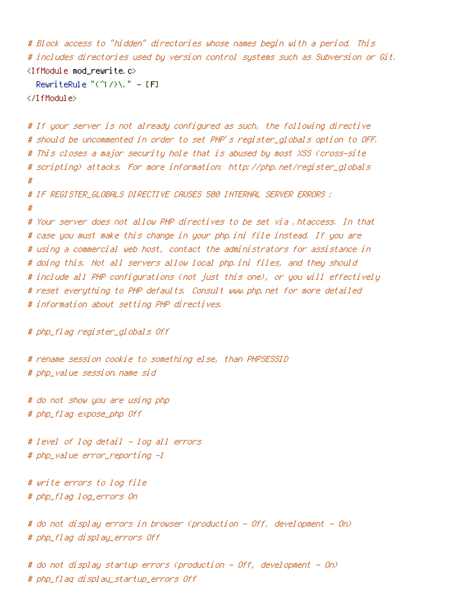```
# Block access to "hidden" directories whose names begin with a period. This
# includes directories used by version control systems such as Subversion or Git.
\triangleleftIfModule mod rewrite.c>RewriteRule "(^\circ\!\!1/\rangle\ " - [F]
</IfModule>
```

```
# If your server is not already configured as such, the following directive
# should be uncommented in order to set PHP's register_globals option to OFF.
# This closes a major security hole that is abused by most XSS (cross-site
# scripting) attacks. For more information: http://php.net/register_globals
#
# IF REGISTER_GLOBALS DIRECTIVE CAUSES 500 INTERNAL SERVER ERRORS :
#
# Your server does not allow PHP directives to be set via .htaccess. In that
# case you must make this change in your php.ini file instead. If you are
# using a commercial web host, contact the administrators for assistance in
# doing this. Not all servers allow local php.ini files, and they should
# include all PHP configurations (not just this one), or you will effectively
# reset everything to PHP defaults. Consult www.php.net for more detailed
# information about setting PHP directives.
```

```
# php_flag register_globals Off
```
# rename session cookie to something else, than PHPSESSID # php\_value session.name sid

# do not show you are using php # php\_flag expose\_php Off

# level of log detail - log all errors # php\_value error\_reporting -1

# write errors to log file # php\_flag log\_errors On

# do not display errors in browser (production - Off, development - On) # php\_flag display\_errors Off

# do not display startup errors (production - Off, development - On) # php\_flag display\_startup\_errors Off